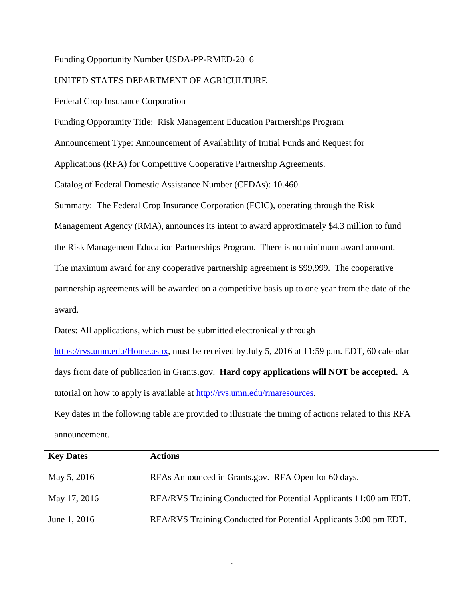# Funding Opportunity Number USDA-PP-RMED-2016

# UNITED STATES DEPARTMENT OF AGRICULTURE

Federal Crop Insurance Corporation

Funding Opportunity Title: Risk Management Education Partnerships Program

Announcement Type: Announcement of Availability of Initial Funds and Request for

Applications (RFA) for Competitive Cooperative Partnership Agreements.

Catalog of Federal Domestic Assistance Number (CFDAs): 10.460.

Summary: The Federal Crop Insurance Corporation (FCIC), operating through the Risk

Management Agency (RMA), announces its intent to award approximately \$4.3 million to fund

the Risk Management Education Partnerships Program. There is no minimum award amount.

The maximum award for any cooperative partnership agreement is \$99,999. The cooperative

partnership agreements will be awarded on a competitive basis up to one year from the date of the award.

Dates: All applications, which must be submitted electronically through

[https://rvs.umn.edu/Home.aspx,](https://rvs.umn.edu/Home.aspx) must be received by July 5, 2016 at 11:59 p.m. EDT, 60 calendar days from date of publication in Grants.gov.**Hard copy applications will NOT be accepted.** A tutorial on how to apply is available at [http://rvs.umn.edu/rmaresources.](http://rvs.umn.edu/rmaresources)

Key dates in the following table are provided to illustrate the timing of actions related to this RFA announcement.

| <b>Key Dates</b> | <b>Actions</b>                                                    |
|------------------|-------------------------------------------------------------------|
| May 5, 2016      | RFAs Announced in Grants.gov. RFA Open for 60 days.               |
| May 17, 2016     | RFA/RVS Training Conducted for Potential Applicants 11:00 am EDT. |
| June 1, 2016     | RFA/RVS Training Conducted for Potential Applicants 3:00 pm EDT.  |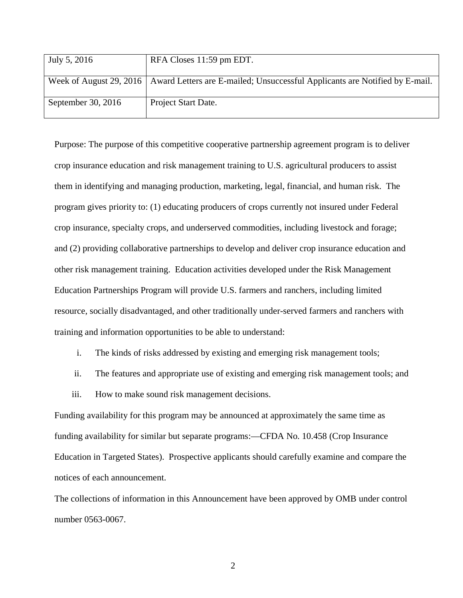| July 5, 2016       | RFA Closes 11:59 pm EDT.                                                                              |
|--------------------|-------------------------------------------------------------------------------------------------------|
|                    |                                                                                                       |
|                    | Week of August 29, 2016   Award Letters are E-mailed; Unsuccessful Applicants are Notified by E-mail. |
| September 30, 2016 | Project Start Date.                                                                                   |

Purpose: The purpose of this competitive cooperative partnership agreement program is to deliver crop insurance education and risk management training to U.S. agricultural producers to assist them in identifying and managing production, marketing, legal, financial, and human risk. The program gives priority to: (1) educating producers of crops currently not insured under Federal crop insurance, specialty crops, and underserved commodities, including livestock and forage; and (2) providing collaborative partnerships to develop and deliver crop insurance education and other risk management training. Education activities developed under the Risk Management Education Partnerships Program will provide U.S. farmers and ranchers, including limited resource, socially disadvantaged, and other traditionally under-served farmers and ranchers with training and information opportunities to be able to understand:

- i. The kinds of risks addressed by existing and emerging risk management tools;
- ii. The features and appropriate use of existing and emerging risk management tools; and
- iii. How to make sound risk management decisions.

Funding availability for this program may be announced at approximately the same time as funding availability for similar but separate programs:—CFDA No. 10.458 (Crop Insurance Education in Targeted States). Prospective applicants should carefully examine and compare the notices of each announcement.

The collections of information in this Announcement have been approved by OMB under control number 0563-0067.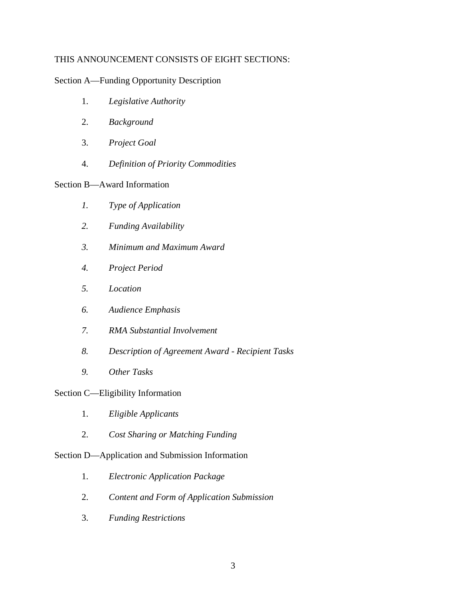# THIS ANNOUNCEMENT CONSISTS OF EIGHT SECTIONS:

Section A—Funding Opportunity Description

- 1. *Legislative Authority*
- 2. *Background*
- 3. *Project Goal*
- 4. *Definition of Priority Commodities*

# Section B—Award Information

- *1. Type of Application*
- *2. Funding Availability*
- *3. Minimum and Maximum Award*
- *4. Project Period*
- *5. Location*
- *6. Audience Emphasis*
- *7. RMA Substantial Involvement*
- *8. Description of Agreement Award - Recipient Tasks*
- *9. Other Tasks*

# Section C—Eligibility Information

- 1. *Eligible Applicants*
- 2. *Cost Sharing or Matching Funding*

# Section D—Application and Submission Information

- 1. *Electronic Application Package*
- 2. *Content and Form of Application Submission*
- 3. *Funding Restrictions*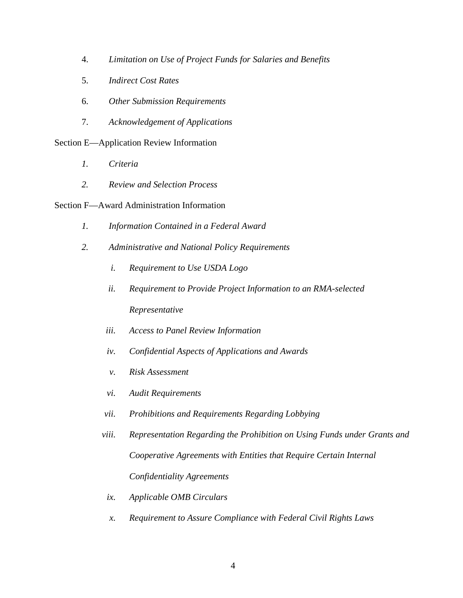- 4. *Limitation on Use of Project Funds for Salaries and Benefits*
- 5. *Indirect Cost Rates*
- 6. *Other Submission Requirements*
- 7. *Acknowledgement of Applications*

Section E—Application Review Information

- *1. Criteria*
- *2. Review and Selection Process*

# Section F—Award Administration Information

- *1. Information Contained in a Federal Award*
- *2. Administrative and National Policy Requirements*
	- *i. Requirement to Use USDA Logo*
	- *ii. Requirement to Provide Project Information to an RMA-selected Representative*
	- *iii. Access to Panel Review Information*
	- *iv. Confidential Aspects of Applications and Awards*
	- *v. Risk Assessment*
	- *vi. Audit Requirements*
	- *vii. Prohibitions and Requirements Regarding Lobbying*
	- *viii. Representation Regarding the Prohibition on Using Funds under Grants and Cooperative Agreements with Entities that Require Certain Internal Confidentiality Agreements*
		- *ix. Applicable OMB Circulars*
		- *x. Requirement to Assure Compliance with Federal Civil Rights Laws*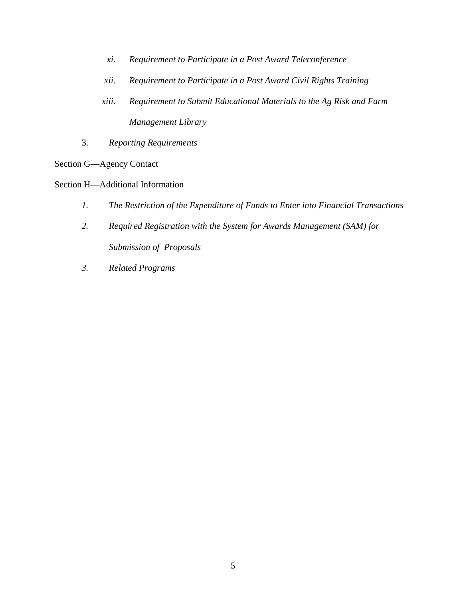- *xi. Requirement to Participate in a Post Award Teleconference*
- *xii. Requirement to Participate in a Post Award Civil Rights Training*
- *xiii. Requirement to Submit Educational Materials to the Ag Risk and Farm Management Library*
- 3. *Reporting Requirements*
- Section G—Agency Contact
- Section H—Additional Information
	- *1. The Restriction of the Expenditure of Funds to Enter into Financial Transactions*
	- *2. Required Registration with the System for Awards Management (SAM) for Submission of Proposals*
	- *3. Related Programs*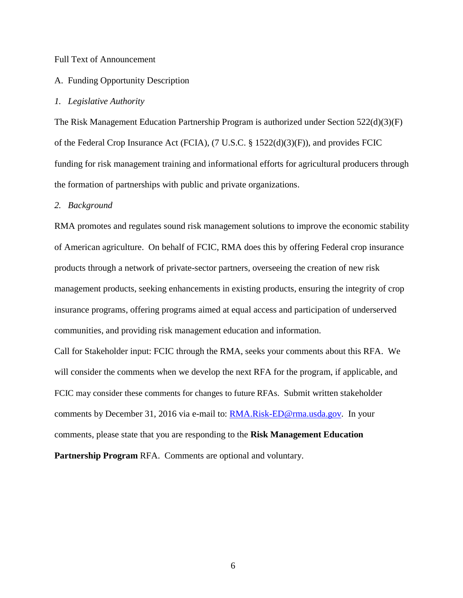#### Full Text of Announcement

## A. Funding Opportunity Description

#### *1. Legislative Authority*

The Risk Management Education Partnership Program is authorized under Section 522(d)(3)(F) of the Federal Crop Insurance Act (FCIA), (7 U.S.C. § 1522(d)(3)(F)), and provides FCIC funding for risk management training and informational efforts for agricultural producers through the formation of partnerships with public and private organizations.

#### *2. Background*

RMA promotes and regulates sound risk management solutions to improve the economic stability of American agriculture. On behalf of FCIC, RMA does this by offering Federal crop insurance products through a network of private-sector partners, overseeing the creation of new risk management products, seeking enhancements in existing products, ensuring the integrity of crop insurance programs, offering programs aimed at equal access and participation of underserved communities, and providing risk management education and information.

Call for Stakeholder input: FCIC through the RMA, seeks your comments about this RFA. We will consider the comments when we develop the next RFA for the program, if applicable, and FCIC may consider these comments for changes to future RFAs. Submit written stakeholder comments by December 31, 2016 via e-mail to: **RMA.Risk-ED@rma.usda.gov.** In your comments, please state that you are responding to the **Risk Management Education Partnership Program** RFA. Comments are optional and voluntary.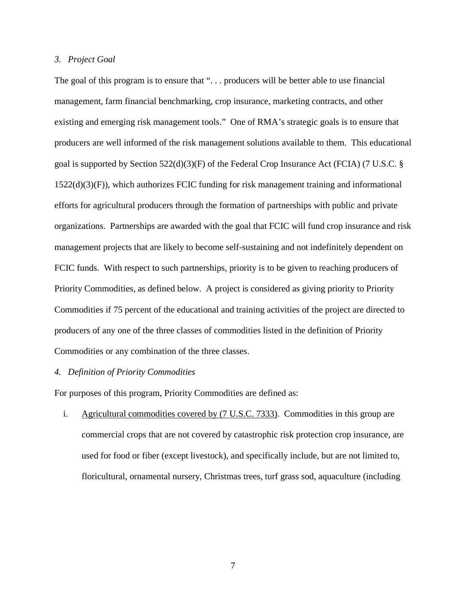# *3. Project Goal*

The goal of this program is to ensure that "... producers will be better able to use financial management, farm financial benchmarking, crop insurance, marketing contracts, and other existing and emerging risk management tools." One of RMA's strategic goals is to ensure that producers are well informed of the risk management solutions available to them. This educational goal is supported by Section 522(d)(3)(F) of the Federal Crop Insurance Act (FCIA) (7 U.S.C. § 1522(d)(3)(F)), which authorizes FCIC funding for risk management training and informational efforts for agricultural producers through the formation of partnerships with public and private organizations. Partnerships are awarded with the goal that FCIC will fund crop insurance and risk management projects that are likely to become self-sustaining and not indefinitely dependent on FCIC funds. With respect to such partnerships, priority is to be given to reaching producers of Priority Commodities, as defined below. A project is considered as giving priority to Priority Commodities if 75 percent of the educational and training activities of the project are directed to producers of any one of the three classes of commodities listed in the definition of Priority Commodities or any combination of the three classes.

# *4. Definition of Priority Commodities*

For purposes of this program, Priority Commodities are defined as:

i. Agricultural commodities covered by (7 U.S.C. 7333). Commodities in this group are commercial crops that are not covered by catastrophic risk protection crop insurance, are used for food or fiber (except livestock), and specifically include, but are not limited to, floricultural, ornamental nursery, Christmas trees, turf grass sod, aquaculture (including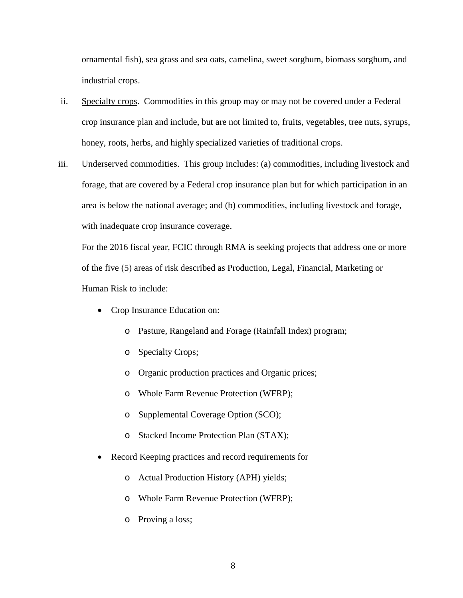ornamental fish), sea grass and sea oats, camelina, sweet sorghum, biomass sorghum, and industrial crops.

- ii. Specialty crops.Commodities in this group may or may not be covered under a Federal crop insurance plan and include, but are not limited to, fruits, vegetables, tree nuts, syrups, honey, roots, herbs, and highly specialized varieties of traditional crops.
- iii. Underserved commodities. This group includes: (a) commodities, including livestock and forage, that are covered by a Federal crop insurance plan but for which participation in an area is below the national average; and (b) commodities, including livestock and forage, with inadequate crop insurance coverage.

For the 2016 fiscal year, FCIC through RMA is seeking projects that address one or more of the five (5) areas of risk described as Production, Legal, Financial, Marketing or Human Risk to include:

- Crop Insurance Education on:
	- o Pasture, Rangeland and Forage (Rainfall Index) program;
	- o Specialty Crops;
	- o Organic production practices and Organic prices;
	- o Whole Farm Revenue Protection (WFRP);
	- o Supplemental Coverage Option (SCO);
	- o Stacked Income Protection Plan (STAX);
- Record Keeping practices and record requirements for
	- o Actual Production History (APH) yields;
	- o Whole Farm Revenue Protection (WFRP);
	- o Proving a loss;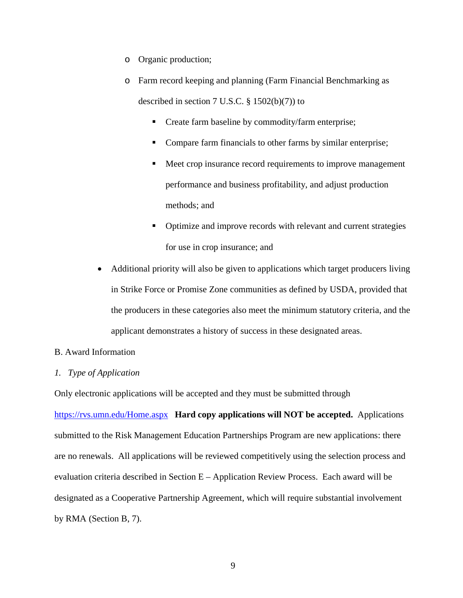- o Organic production;
- o Farm record keeping and planning (Farm Financial Benchmarking as described in section 7 U.S.C.  $\S$  1502(b)(7)) to
	- **Create farm baseline by commodity/farm enterprise;**
	- Compare farm financials to other farms by similar enterprise;
	- Meet crop insurance record requirements to improve management performance and business profitability, and adjust production methods; and
	- Optimize and improve records with relevant and current strategies for use in crop insurance; and
- Additional priority will also be given to applications which target producers living in Strike Force or Promise Zone communities as defined by USDA, provided that the producers in these categories also meet the minimum statutory criteria, and the applicant demonstrates a history of success in these designated areas.

# B. Award Information

# *1. Type of Application*

Only electronic applications will be accepted and they must be submitted through

<https://rvs.umn.edu/Home.aspx> **Hard copy applications will NOT be accepted.** Applications submitted to the Risk Management Education Partnerships Program are new applications: there are no renewals. All applications will be reviewed competitively using the selection process and evaluation criteria described in Section E – Application Review Process. Each award will be designated as a Cooperative Partnership Agreement, which will require substantial involvement by RMA (Section B, 7).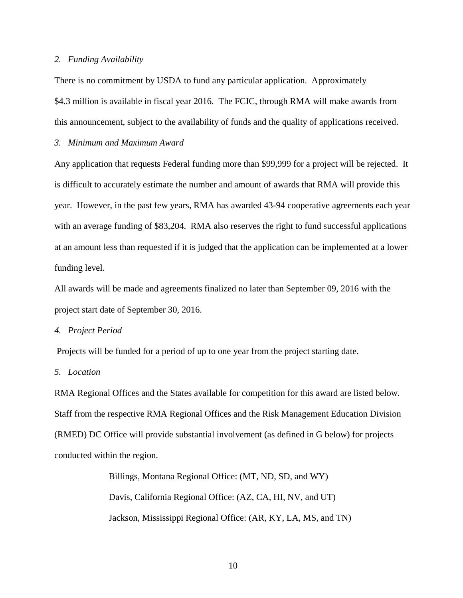#### *2. Funding Availability*

There is no commitment by USDA to fund any particular application.Approximately \$4.3 million is available in fiscal year 2016. The FCIC, through RMA will make awards from this announcement, subject to the availability of funds and the quality of applications received.

# *3. Minimum and Maximum Award*

Any application that requests Federal funding more than \$99,999 for a project will be rejected. It is difficult to accurately estimate the number and amount of awards that RMA will provide this year. However, in the past few years, RMA has awarded 43-94 cooperative agreements each year with an average funding of \$83,204. RMA also reserves the right to fund successful applications at an amount less than requested if it is judged that the application can be implemented at a lower funding level.

All awards will be made and agreements finalized no later than September 09, 2016 with the project start date of September 30, 2016.

*4. Project Period*

Projects will be funded for a period of up to one year from the project starting date.

*5. Location* 

RMA Regional Offices and the States available for competition for this award are listed below. Staff from the respective RMA Regional Offices and the Risk Management Education Division (RMED) DC Office will provide substantial involvement (as defined in G below) for projects conducted within the region.

> Billings, Montana Regional Office: (MT, ND, SD, and WY) Davis, California Regional Office: (AZ, CA, HI, NV, and UT) Jackson, Mississippi Regional Office: (AR, KY, LA, MS, and TN)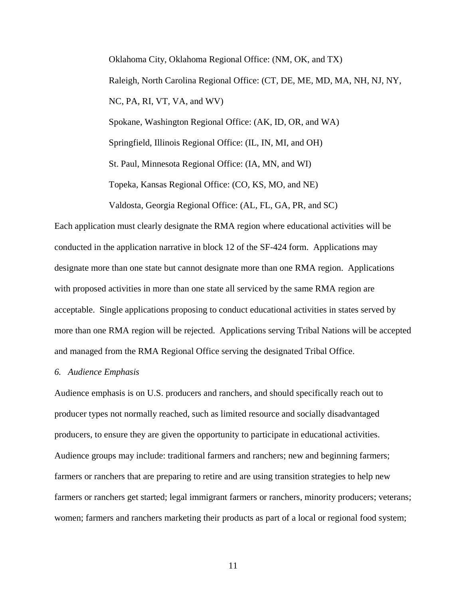Oklahoma City, Oklahoma Regional Office: (NM, OK, and TX) Raleigh, North Carolina Regional Office: (CT, DE, ME, MD, MA, NH, NJ, NY, NC, PA, RI, VT, VA, and WV) Spokane, Washington Regional Office: (AK, ID, OR, and WA) Springfield, Illinois Regional Office: (IL, IN, MI, and OH) St. Paul, Minnesota Regional Office: (IA, MN, and WI) Topeka, Kansas Regional Office: (CO, KS, MO, and NE) Valdosta, Georgia Regional Office: (AL, FL, GA, PR, and SC)

Each application must clearly designate the RMA region where educational activities will be conducted in the application narrative in block 12 of the SF-424 form. Applications may designate more than one state but cannot designate more than one RMA region. Applications with proposed activities in more than one state all serviced by the same RMA region are acceptable. Single applications proposing to conduct educational activities in states served by more than one RMA region will be rejected. Applications serving Tribal Nations will be accepted and managed from the RMA Regional Office serving the designated Tribal Office.

#### *6. Audience Emphasis*

Audience emphasis is on U.S. producers and ranchers, and should specifically reach out to producer types not normally reached, such as limited resource and socially disadvantaged producers, to ensure they are given the opportunity to participate in educational activities. Audience groups may include: traditional farmers and ranchers; new and beginning farmers; farmers or ranchers that are preparing to retire and are using transition strategies to help new farmers or ranchers get started; legal immigrant farmers or ranchers, minority producers; veterans; women; farmers and ranchers marketing their products as part of a local or regional food system;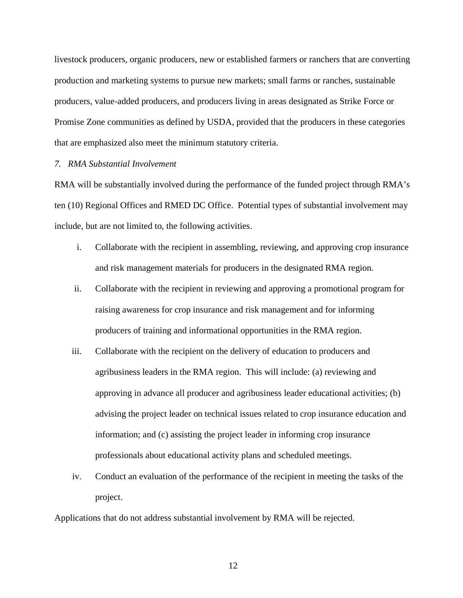livestock producers, organic producers, new or established farmers or ranchers that are converting production and marketing systems to pursue new markets; small farms or ranches, sustainable producers, value-added producers, and producers living in areas designated as Strike Force or Promise Zone communities as defined by USDA, provided that the producers in these categories that are emphasized also meet the minimum statutory criteria.

# *7. RMA Substantial Involvement*

RMA will be substantially involved during the performance of the funded project through RMA's ten (10) Regional Offices and RMED DC Office. Potential types of substantial involvement may include, but are not limited to, the following activities.

- i. Collaborate with the recipient in assembling, reviewing, and approving crop insurance and risk management materials for producers in the designated RMA region.
- ii. Collaborate with the recipient in reviewing and approving a promotional program for raising awareness for crop insurance and risk management and for informing producers of training and informational opportunities in the RMA region.
- iii. Collaborate with the recipient on the delivery of education to producers and agribusiness leaders in the RMA region. This will include: (a) reviewing and approving in advance all producer and agribusiness leader educational activities; (b) advising the project leader on technical issues related to crop insurance education and information; and (c) assisting the project leader in informing crop insurance professionals about educational activity plans and scheduled meetings.
- iv. Conduct an evaluation of the performance of the recipient in meeting the tasks of the project.

Applications that do not address substantial involvement by RMA will be rejected.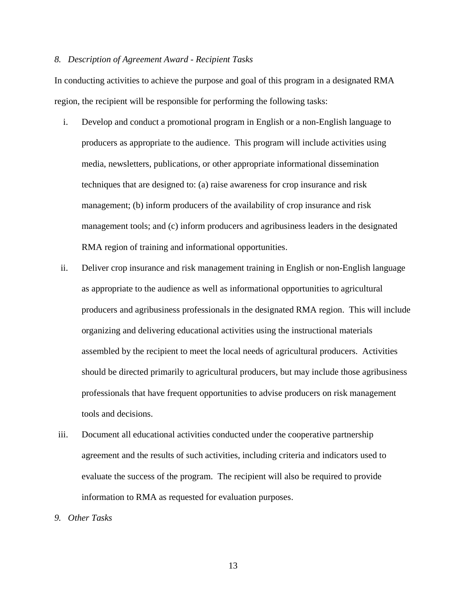#### *8. Description of Agreement Award - Recipient Tasks*

In conducting activities to achieve the purpose and goal of this program in a designated RMA region, the recipient will be responsible for performing the following tasks:

- i. Develop and conduct a promotional program in English or a non-English language to producers as appropriate to the audience. This program will include activities using media, newsletters, publications, or other appropriate informational dissemination techniques that are designed to: (a) raise awareness for crop insurance and risk management; (b) inform producers of the availability of crop insurance and risk management tools; and (c) inform producers and agribusiness leaders in the designated RMA region of training and informational opportunities.
- ii. Deliver crop insurance and risk management training in English or non-English language as appropriate to the audience as well as informational opportunities to agricultural producers and agribusiness professionals in the designated RMA region. This will include organizing and delivering educational activities using the instructional materials assembled by the recipient to meet the local needs of agricultural producers. Activities should be directed primarily to agricultural producers, but may include those agribusiness professionals that have frequent opportunities to advise producers on risk management tools and decisions.
- iii. Document all educational activities conducted under the cooperative partnership agreement and the results of such activities, including criteria and indicators used to evaluate the success of the program. The recipient will also be required to provide information to RMA as requested for evaluation purposes.
- *9. Other Tasks*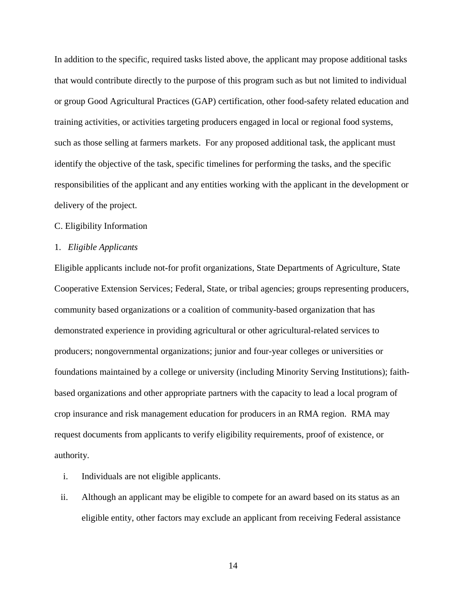In addition to the specific, required tasks listed above, the applicant may propose additional tasks that would contribute directly to the purpose of this program such as but not limited to individual or group Good Agricultural Practices (GAP) certification, other food-safety related education and training activities, or activities targeting producers engaged in local or regional food systems, such as those selling at farmers markets. For any proposed additional task, the applicant must identify the objective of the task, specific timelines for performing the tasks, and the specific responsibilities of the applicant and any entities working with the applicant in the development or delivery of the project.

# C. Eligibility Information

# 1. *Eligible Applicants*

Eligible applicants include not-for profit organizations, State Departments of Agriculture, State Cooperative Extension Services; Federal, State, or tribal agencies; groups representing producers, community based organizations or a coalition of community-based organization that has demonstrated experience in providing agricultural or other agricultural-related services to producers; nongovernmental organizations; junior and four-year colleges or universities or foundations maintained by a college or university (including Minority Serving Institutions); faithbased organizations and other appropriate partners with the capacity to lead a local program of crop insurance and risk management education for producers in an RMA region. RMA may request documents from applicants to verify eligibility requirements, proof of existence, or authority.

- i. Individuals are not eligible applicants.
- ii. Although an applicant may be eligible to compete for an award based on its status as an eligible entity, other factors may exclude an applicant from receiving Federal assistance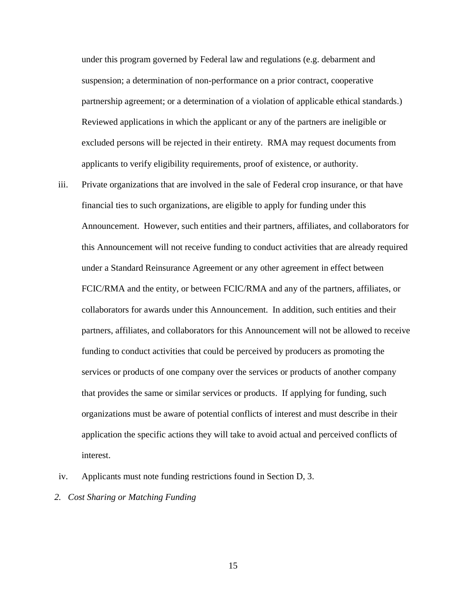under this program governed by Federal law and regulations (e.g. debarment and suspension; a determination of non-performance on a prior contract, cooperative partnership agreement; or a determination of a violation of applicable ethical standards.) Reviewed applications in which the applicant or any of the partners are ineligible or excluded persons will be rejected in their entirety. RMA may request documents from applicants to verify eligibility requirements, proof of existence, or authority.

- iii. Private organizations that are involved in the sale of Federal crop insurance, or that have financial ties to such organizations, are eligible to apply for funding under this Announcement. However, such entities and their partners, affiliates, and collaborators for this Announcement will not receive funding to conduct activities that are already required under a Standard Reinsurance Agreement or any other agreement in effect between FCIC/RMA and the entity, or between FCIC/RMA and any of the partners, affiliates, or collaborators for awards under this Announcement. In addition, such entities and their partners, affiliates, and collaborators for this Announcement will not be allowed to receive funding to conduct activities that could be perceived by producers as promoting the services or products of one company over the services or products of another company that provides the same or similar services or products. If applying for funding, such organizations must be aware of potential conflicts of interest and must describe in their application the specific actions they will take to avoid actual and perceived conflicts of interest.
- iv. Applicants must note funding restrictions found in Section D, 3.
- *2. Cost Sharing or Matching Funding*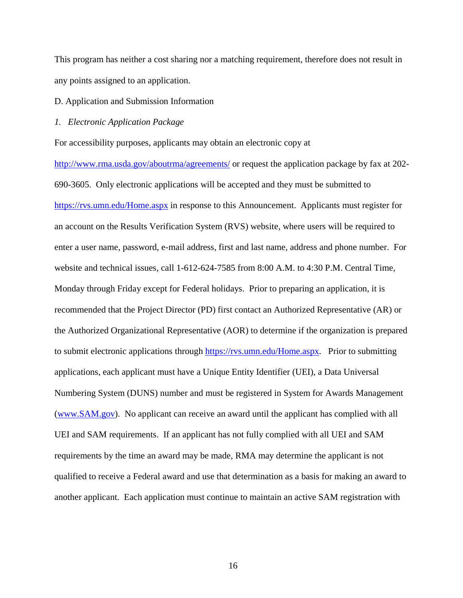This program has neither a cost sharing nor a matching requirement, therefore does not result in any points assigned to an application.

# D. Application and Submission Information

# *1. Electronic Application Package*

For accessibility purposes, applicants may obtain an electronic copy at

<http://www.rma.usda.gov/aboutrma/agreements/> or request the application package by fax at 202- 690-3605. Only electronic applications will be accepted and they must be submitted to <https://rvs.umn.edu/Home.aspx> in response to this Announcement. Applicants must register for an account on the Results Verification System (RVS) website, where users will be required to enter a user name, password, e-mail address, first and last name, address and phone number. For website and technical issues, call 1-612-624-7585 from 8:00 A.M. to 4:30 P.M. Central Time, Monday through Friday except for Federal holidays. Prior to preparing an application, it is recommended that the Project Director (PD) first contact an Authorized Representative (AR) or the Authorized Organizational Representative (AOR) to determine if the organization is prepared to submit electronic applications through [https://rvs.umn.edu/Home.aspx.](https://rvs.umn.edu/Home.aspx) Prior to submitting applications, each applicant must have a Unique Entity Identifier (UEI), a Data Universal Numbering System (DUNS) number and must be registered in System for Awards Management [\(www.SAM.gov\)](http://www.sam.gov/). No applicant can receive an award until the applicant has complied with all UEI and SAM requirements. If an applicant has not fully complied with all UEI and SAM requirements by the time an award may be made, RMA may determine the applicant is not qualified to receive a Federal award and use that determination as a basis for making an award to another applicant. Each application must continue to maintain an active SAM registration with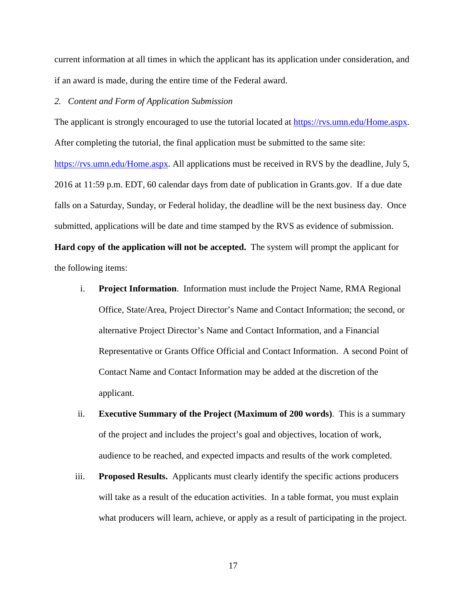current information at all times in which the applicant has its application under consideration, and if an award is made, during the entire time of the Federal award.

# *2. Content and Form of Application Submission*

The applicant is strongly encouraged to use the tutorial located at [https://rvs.umn.edu/Home.aspx.](https://rvs.umn.edu/Home.aspx) After completing the tutorial, the final application must be submitted to the same site: [https://rvs.umn.edu/Home.aspx.](https://rvs.umn.edu/Home.aspx) All applications must be received in RVS by the deadline, July 5, 2016 at 11:59 p.m. EDT, 60 calendar days from date of publication in Grants.gov. If a due date falls on a Saturday, Sunday, or Federal holiday, the deadline will be the next business day. Once submitted, applications will be date and time stamped by the RVS as evidence of submission. **Hard copy of the application will not be accepted.** The system will prompt the applicant for the following items:

- i. **Project Information**. Information must include the Project Name, RMA Regional Office, State/Area, Project Director's Name and Contact Information; the second, or alternative Project Director's Name and Contact Information, and a Financial Representative or Grants Office Official and Contact Information. A second Point of Contact Name and Contact Information may be added at the discretion of the applicant.
- ii. **Executive Summary of the Project (Maximum of 200 words)**. This is a summary of the project and includes the project's goal and objectives, location of work, audience to be reached, and expected impacts and results of the work completed.
- iii. **Proposed Results.** Applicants must clearly identify the specific actions producers will take as a result of the education activities. In a table format, you must explain what producers will learn, achieve, or apply as a result of participating in the project.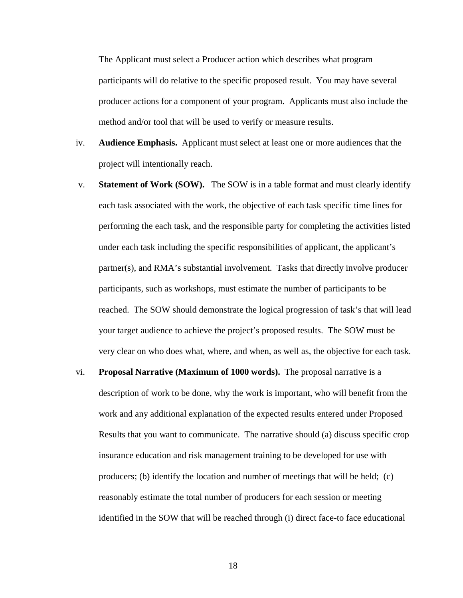The Applicant must select a Producer action which describes what program participants will do relative to the specific proposed result. You may have several producer actions for a component of your program. Applicants must also include the method and/or tool that will be used to verify or measure results.

- iv. **Audience Emphasis.** Applicant must select at least one or more audiences that the project will intentionally reach.
- v. **Statement of Work (SOW).** The SOW is in a table format and must clearly identify each task associated with the work, the objective of each task specific time lines for performing the each task, and the responsible party for completing the activities listed under each task including the specific responsibilities of applicant, the applicant's partner(s), and RMA's substantial involvement. Tasks that directly involve producer participants, such as workshops, must estimate the number of participants to be reached. The SOW should demonstrate the logical progression of task's that will lead your target audience to achieve the project's proposed results. The SOW must be very clear on who does what, where, and when, as well as, the objective for each task.
- vi. **Proposal Narrative (Maximum of 1000 words).** The proposal narrative is a description of work to be done, why the work is important, who will benefit from the work and any additional explanation of the expected results entered under Proposed Results that you want to communicate. The narrative should (a) discuss specific crop insurance education and risk management training to be developed for use with producers; (b) identify the location and number of meetings that will be held; (c) reasonably estimate the total number of producers for each session or meeting identified in the SOW that will be reached through (i) direct face-to face educational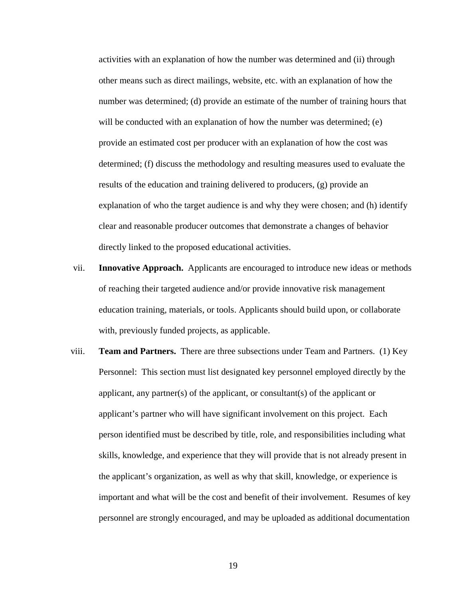activities with an explanation of how the number was determined and (ii) through other means such as direct mailings, website, etc. with an explanation of how the number was determined; (d) provide an estimate of the number of training hours that will be conducted with an explanation of how the number was determined; (e) provide an estimated cost per producer with an explanation of how the cost was determined; (f) discuss the methodology and resulting measures used to evaluate the results of the education and training delivered to producers, (g) provide an explanation of who the target audience is and why they were chosen; and (h) identify clear and reasonable producer outcomes that demonstrate a changes of behavior directly linked to the proposed educational activities.

- vii. **Innovative Approach.** Applicants are encouraged to introduce new ideas or methods of reaching their targeted audience and/or provide innovative risk management education training, materials, or tools. Applicants should build upon, or collaborate with, previously funded projects, as applicable.
- viii. **Team and Partners.** There are three subsections under Team and Partners. (1) Key Personnel: This section must list designated key personnel employed directly by the applicant, any partner(s) of the applicant, or consultant(s) of the applicant or applicant's partner who will have significant involvement on this project. Each person identified must be described by title, role, and responsibilities including what skills, knowledge, and experience that they will provide that is not already present in the applicant's organization, as well as why that skill, knowledge, or experience is important and what will be the cost and benefit of their involvement. Resumes of key personnel are strongly encouraged, and may be uploaded as additional documentation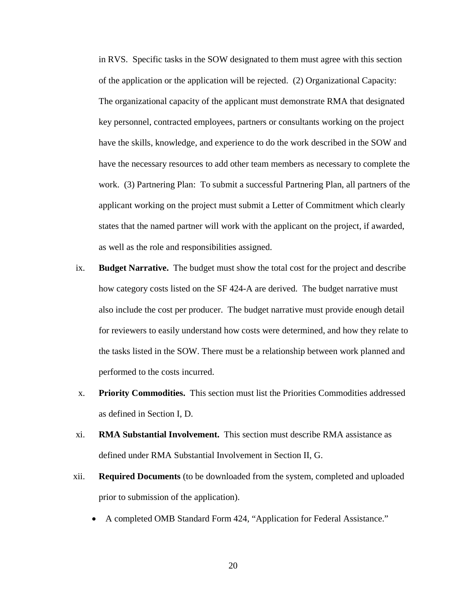in RVS. Specific tasks in the SOW designated to them must agree with this section of the application or the application will be rejected. (2) Organizational Capacity: The organizational capacity of the applicant must demonstrate RMA that designated key personnel, contracted employees, partners or consultants working on the project have the skills, knowledge, and experience to do the work described in the SOW and have the necessary resources to add other team members as necessary to complete the work. (3) Partnering Plan: To submit a successful Partnering Plan, all partners of the applicant working on the project must submit a Letter of Commitment which clearly states that the named partner will work with the applicant on the project, if awarded, as well as the role and responsibilities assigned.

- ix. **Budget Narrative.** The budget must show the total cost for the project and describe how category costs listed on the SF 424-A are derived. The budget narrative must also include the cost per producer. The budget narrative must provide enough detail for reviewers to easily understand how costs were determined, and how they relate to the tasks listed in the SOW. There must be a relationship between work planned and performed to the costs incurred.
- x. **Priority Commodities.** This section must list the Priorities Commodities addressed as defined in Section I, D.
- xi. **RMA Substantial Involvement.** This section must describe RMA assistance as defined under RMA Substantial Involvement in Section II, G.
- xii. **Required Documents** (to be downloaded from the system, completed and uploaded prior to submission of the application).
	- A completed OMB Standard Form 424, "Application for Federal Assistance."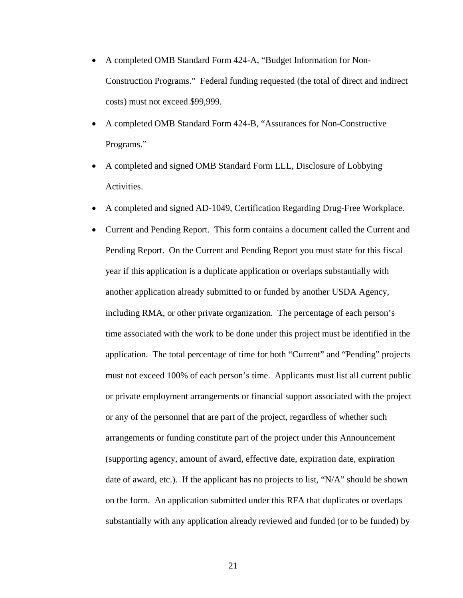- A completed OMB Standard Form 424-A, "Budget Information for Non-Construction Programs." Federal funding requested (the total of direct and indirect costs) must not exceed \$99,999.
- A completed OMB Standard Form 424-B, "Assurances for Non-Constructive Programs."
- A completed and signed OMB Standard Form LLL, Disclosure of Lobbying Activities.
- A completed and signed AD-1049, Certification Regarding Drug-Free Workplace.
- Current and Pending Report. This form contains a document called the Current and Pending Report. On the Current and Pending Report you must state for this fiscal year if this application is a duplicate application or overlaps substantially with another application already submitted to or funded by another USDA Agency, including RMA, or other private organization. The percentage of each person's time associated with the work to be done under this project must be identified in the application. The total percentage of time for both "Current" and "Pending" projects must not exceed 100% of each person's time. Applicants must list all current public or private employment arrangements or financial support associated with the project or any of the personnel that are part of the project, regardless of whether such arrangements or funding constitute part of the project under this Announcement (supporting agency, amount of award, effective date, expiration date, expiration date of award, etc.). If the applicant has no projects to list, "N/A" should be shown on the form. An application submitted under this RFA that duplicates or overlaps substantially with any application already reviewed and funded (or to be funded) by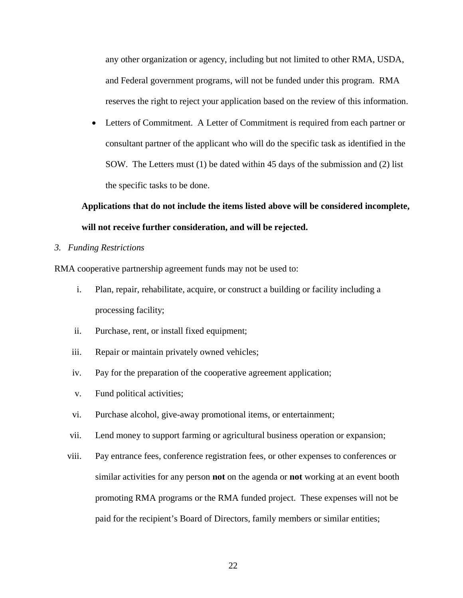any other organization or agency, including but not limited to other RMA, USDA, and Federal government programs, will not be funded under this program. RMA reserves the right to reject your application based on the review of this information.

• Letters of Commitment. A Letter of Commitment is required from each partner or consultant partner of the applicant who will do the specific task as identified in the SOW. The Letters must (1) be dated within 45 days of the submission and (2) list the specific tasks to be done.

# **Applications that do not include the items listed above will be considered incomplete, will not receive further consideration, and will be rejected.**

# *3. Funding Restrictions*

RMA cooperative partnership agreement funds may not be used to:

- i. Plan, repair, rehabilitate, acquire, or construct a building or facility including a processing facility;
- ii. Purchase, rent, or install fixed equipment;
- iii. Repair or maintain privately owned vehicles;
- iv. Pay for the preparation of the cooperative agreement application;
- v. Fund political activities;
- vi. Purchase alcohol, give-away promotional items, or entertainment;
- vii. Lend money to support farming or agricultural business operation or expansion;
- viii. Pay entrance fees, conference registration fees, or other expenses to conferences or similar activities for any person **not** on the agenda or **not** working at an event booth promoting RMA programs or the RMA funded project. These expenses will not be paid for the recipient's Board of Directors, family members or similar entities;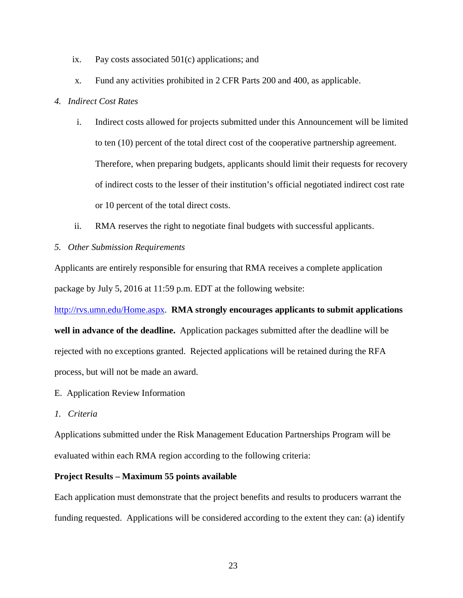- ix. Pay costs associated 501(c) applications; and
- x. Fund any activities prohibited in 2 CFR Parts 200 and 400, as applicable.

# *4. Indirect Cost Rates*

- i. Indirect costs allowed for projects submitted under this Announcement will be limited to ten (10) percent of the total direct cost of the cooperative partnership agreement. Therefore, when preparing budgets, applicants should limit their requests for recovery of indirect costs to the lesser of their institution's official negotiated indirect cost rate or 10 percent of the total direct costs.
- ii. RMA reserves the right to negotiate final budgets with successful applicants.
- *5. Other Submission Requirements*

Applicants are entirely responsible for ensuring that RMA receives a complete application package by July 5, 2016 at 11:59 p.m. EDT at the following website:

[http://rvs.umn.edu/Home.aspx.](http://rvs.umn.edu/Home.aspx) **RMA strongly encourages applicants to submit applications well in advance of the deadline.** Application packages submitted after the deadline will be rejected with no exceptions granted. Rejected applications will be retained during the RFA process, but will not be made an award.

- E. Application Review Information
- *1. Criteria*

Applications submitted under the Risk Management Education Partnerships Program will be evaluated within each RMA region according to the following criteria:

# **Project Results – Maximum 55 points available**

Each application must demonstrate that the project benefits and results to producers warrant the funding requested. Applications will be considered according to the extent they can: (a) identify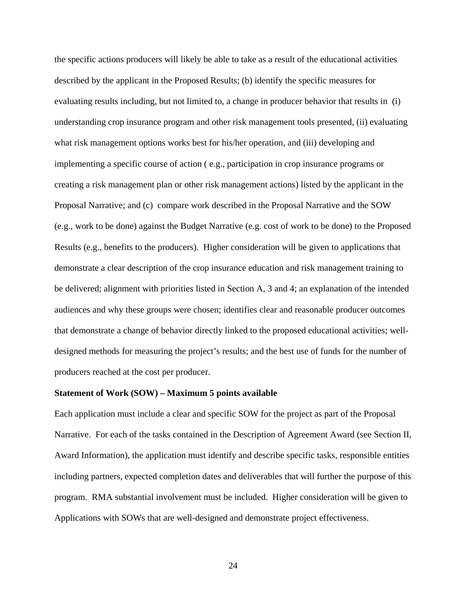the specific actions producers will likely be able to take as a result of the educational activities described by the applicant in the Proposed Results; (b) identify the specific measures for evaluating results including, but not limited to, a change in producer behavior that results in (i) understanding crop insurance program and other risk management tools presented, (ii) evaluating what risk management options works best for his/her operation, and (iii) developing and implementing a specific course of action ( e.g., participation in crop insurance programs or creating a risk management plan or other risk management actions) listed by the applicant in the Proposal Narrative; and (c) compare work described in the Proposal Narrative and the SOW (e.g., work to be done) against the Budget Narrative (e.g. cost of work to be done) to the Proposed Results (e.g., benefits to the producers). Higher consideration will be given to applications that demonstrate a clear description of the crop insurance education and risk management training to be delivered; alignment with priorities listed in Section A, 3 and 4; an explanation of the intended audiences and why these groups were chosen; identifies clear and reasonable producer outcomes that demonstrate a change of behavior directly linked to the proposed educational activities; welldesigned methods for measuring the project's results; and the best use of funds for the number of producers reached at the cost per producer.

# **Statement of Work (SOW) – Maximum 5 points available**

Each application must include a clear and specific SOW for the project as part of the Proposal Narrative. For each of the tasks contained in the Description of Agreement Award (see Section II, Award Information), the application must identify and describe specific tasks, responsible entities including partners, expected completion dates and deliverables that will further the purpose of this program. RMA substantial involvement must be included. Higher consideration will be given to Applications with SOWs that are well-designed and demonstrate project effectiveness.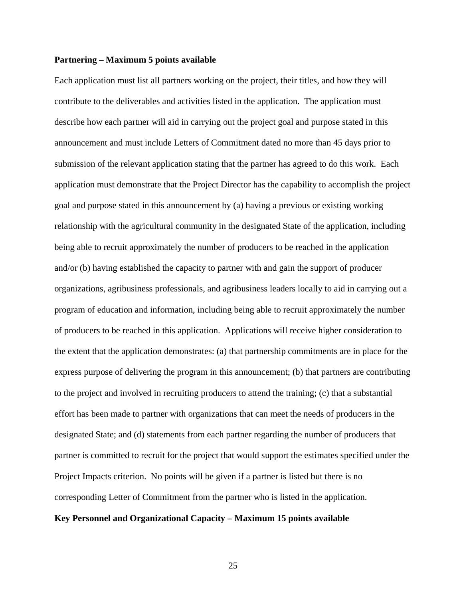# **Partnering – Maximum 5 points available**

Each application must list all partners working on the project, their titles, and how they will contribute to the deliverables and activities listed in the application. The application must describe how each partner will aid in carrying out the project goal and purpose stated in this announcement and must include Letters of Commitment dated no more than 45 days prior to submission of the relevant application stating that the partner has agreed to do this work. Each application must demonstrate that the Project Director has the capability to accomplish the project goal and purpose stated in this announcement by (a) having a previous or existing working relationship with the agricultural community in the designated State of the application, including being able to recruit approximately the number of producers to be reached in the application and/or (b) having established the capacity to partner with and gain the support of producer organizations, agribusiness professionals, and agribusiness leaders locally to aid in carrying out a program of education and information, including being able to recruit approximately the number of producers to be reached in this application. Applications will receive higher consideration to the extent that the application demonstrates: (a) that partnership commitments are in place for the express purpose of delivering the program in this announcement; (b) that partners are contributing to the project and involved in recruiting producers to attend the training; (c) that a substantial effort has been made to partner with organizations that can meet the needs of producers in the designated State; and (d) statements from each partner regarding the number of producers that partner is committed to recruit for the project that would support the estimates specified under the Project Impacts criterion. No points will be given if a partner is listed but there is no corresponding Letter of Commitment from the partner who is listed in the application.

#### **Key Personnel and Organizational Capacity – Maximum 15 points available**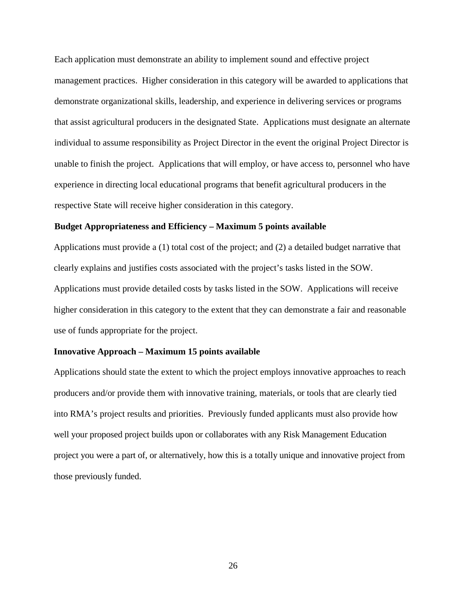Each application must demonstrate an ability to implement sound and effective project management practices. Higher consideration in this category will be awarded to applications that demonstrate organizational skills, leadership, and experience in delivering services or programs that assist agricultural producers in the designated State. Applications must designate an alternate individual to assume responsibility as Project Director in the event the original Project Director is unable to finish the project. Applications that will employ, or have access to, personnel who have experience in directing local educational programs that benefit agricultural producers in the respective State will receive higher consideration in this category.

### **Budget Appropriateness and Efficiency – Maximum 5 points available**

Applications must provide a (1) total cost of the project; and (2) a detailed budget narrative that clearly explains and justifies costs associated with the project's tasks listed in the SOW. Applications must provide detailed costs by tasks listed in the SOW. Applications will receive higher consideration in this category to the extent that they can demonstrate a fair and reasonable use of funds appropriate for the project.

#### **Innovative Approach – Maximum 15 points available**

Applications should state the extent to which the project employs innovative approaches to reach producers and/or provide them with innovative training, materials, or tools that are clearly tied into RMA's project results and priorities. Previously funded applicants must also provide how well your proposed project builds upon or collaborates with any Risk Management Education project you were a part of, or alternatively, how this is a totally unique and innovative project from those previously funded.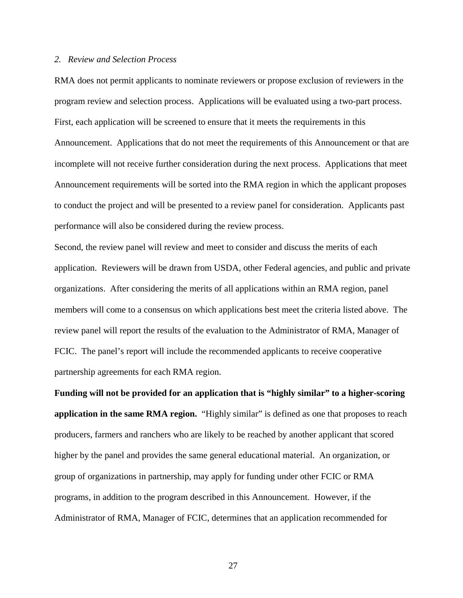#### *2. Review and Selection Process*

RMA does not permit applicants to nominate reviewers or propose exclusion of reviewers in the program review and selection process. Applications will be evaluated using a two-part process. First, each application will be screened to ensure that it meets the requirements in this Announcement. Applications that do not meet the requirements of this Announcement or that are incomplete will not receive further consideration during the next process. Applications that meet Announcement requirements will be sorted into the RMA region in which the applicant proposes to conduct the project and will be presented to a review panel for consideration. Applicants past performance will also be considered during the review process.

Second, the review panel will review and meet to consider and discuss the merits of each application. Reviewers will be drawn from USDA, other Federal agencies, and public and private organizations. After considering the merits of all applications within an RMA region, panel members will come to a consensus on which applications best meet the criteria listed above. The review panel will report the results of the evaluation to the Administrator of RMA, Manager of FCIC. The panel's report will include the recommended applicants to receive cooperative partnership agreements for each RMA region.

**Funding will not be provided for an application that is "highly similar" to a higher-scoring application in the same RMA region.** "Highly similar" is defined as one that proposes to reach producers, farmers and ranchers who are likely to be reached by another applicant that scored higher by the panel and provides the same general educational material. An organization, or group of organizations in partnership, may apply for funding under other FCIC or RMA programs, in addition to the program described in this Announcement. However, if the Administrator of RMA, Manager of FCIC, determines that an application recommended for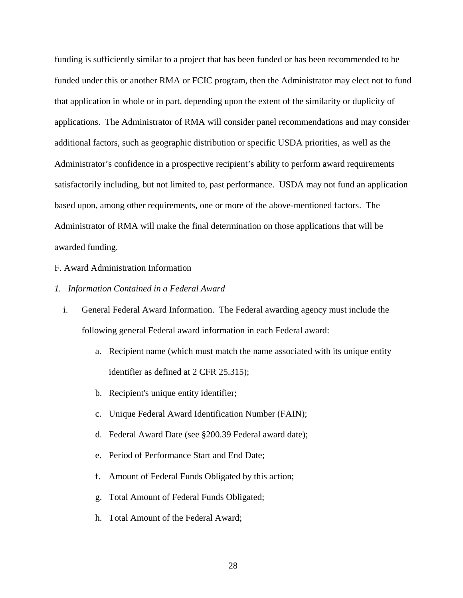funding is sufficiently similar to a project that has been funded or has been recommended to be funded under this or another RMA or FCIC program, then the Administrator may elect not to fund that application in whole or in part, depending upon the extent of the similarity or duplicity of applications. The Administrator of RMA will consider panel recommendations and may consider additional factors, such as geographic distribution or specific USDA priorities, as well as the Administrator's confidence in a prospective recipient's ability to perform award requirements satisfactorily including, but not limited to, past performance. USDA may not fund an application based upon, among other requirements, one or more of the above-mentioned factors. The Administrator of RMA will make the final determination on those applications that will be awarded funding.

# F. Award Administration Information

# *1. Information Contained in a Federal Award*

- i. General Federal Award Information. The Federal awarding agency must include the following general Federal award information in each Federal award:
	- a. Recipient name (which must match the name associated with its unique entity identifier as defined at 2 CFR 25.315);
	- b. Recipient's unique entity identifier;
	- c. Unique Federal Award Identification Number (FAIN);
	- d. Federal Award Date (see §200.39 Federal award date);
	- e. Period of Performance Start and End Date;
	- f. Amount of Federal Funds Obligated by this action;
	- g. Total Amount of Federal Funds Obligated;
	- h. Total Amount of the Federal Award;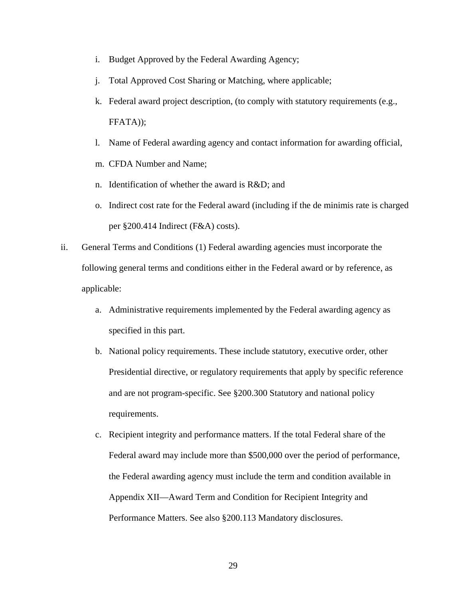- i. Budget Approved by the Federal Awarding Agency;
- j. Total Approved Cost Sharing or Matching, where applicable;
- k. Federal award project description, (to comply with statutory requirements (e.g., FFATA));
- l. Name of Federal awarding agency and contact information for awarding official,
- m. CFDA Number and Name;
- n. Identification of whether the award is R&D; and
- o. Indirect cost rate for the Federal award (including if the de minimis rate is charged per §200.414 Indirect (F&A) costs).
- ii. General Terms and Conditions (1) Federal awarding agencies must incorporate the following general terms and conditions either in the Federal award or by reference, as applicable:
	- a. Administrative requirements implemented by the Federal awarding agency as specified in this part.
	- b. National policy requirements. These include statutory, executive order, other Presidential directive, or regulatory requirements that apply by specific reference and are not program-specific. See §200.300 Statutory and national policy requirements.
	- c. Recipient integrity and performance matters. If the total Federal share of the Federal award may include more than \$500,000 over the period of performance, the Federal awarding agency must include the term and condition available in Appendix XII—Award Term and Condition for Recipient Integrity and Performance Matters. See also §200.113 Mandatory disclosures.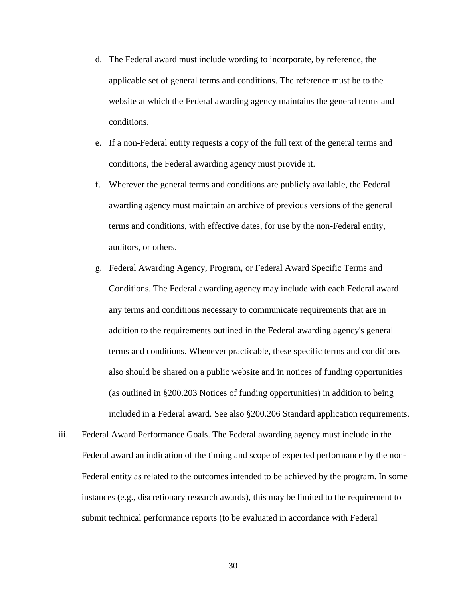- d. The Federal award must include wording to incorporate, by reference, the applicable set of general terms and conditions. The reference must be to the website at which the Federal awarding agency maintains the general terms and conditions.
- e. If a non-Federal entity requests a copy of the full text of the general terms and conditions, the Federal awarding agency must provide it.
- f. Wherever the general terms and conditions are publicly available, the Federal awarding agency must maintain an archive of previous versions of the general terms and conditions, with effective dates, for use by the non-Federal entity, auditors, or others.
- g. Federal Awarding Agency, Program, or Federal Award Specific Terms and Conditions. The Federal awarding agency may include with each Federal award any terms and conditions necessary to communicate requirements that are in addition to the requirements outlined in the Federal awarding agency's general terms and conditions. Whenever practicable, these specific terms and conditions also should be shared on a public website and in notices of funding opportunities (as outlined in §200.203 Notices of funding opportunities) in addition to being included in a Federal award. See also §200.206 Standard application requirements.
- iii. Federal Award Performance Goals. The Federal awarding agency must include in the Federal award an indication of the timing and scope of expected performance by the non-Federal entity as related to the outcomes intended to be achieved by the program. In some instances (e.g., discretionary research awards), this may be limited to the requirement to submit technical performance reports (to be evaluated in accordance with Federal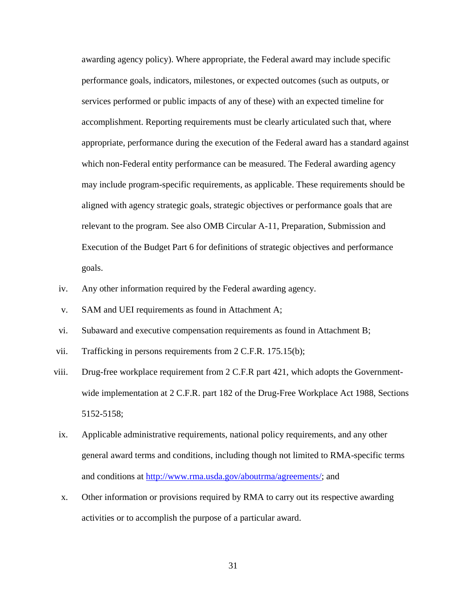awarding agency policy). Where appropriate, the Federal award may include specific performance goals, indicators, milestones, or expected outcomes (such as outputs, or services performed or public impacts of any of these) with an expected timeline for accomplishment. Reporting requirements must be clearly articulated such that, where appropriate, performance during the execution of the Federal award has a standard against which non-Federal entity performance can be measured. The Federal awarding agency may include program-specific requirements, as applicable. These requirements should be aligned with agency strategic goals, strategic objectives or performance goals that are relevant to the program. See also OMB Circular A-11, Preparation, Submission and Execution of the Budget Part 6 for definitions of strategic objectives and performance goals.

- iv. Any other information required by the Federal awarding agency.
- v. SAM and UEI requirements as found in Attachment A;
- vi. Subaward and executive compensation requirements as found in Attachment B;
- vii. Trafficking in persons requirements from 2 C.F.R. 175.15(b);
- viii. Drug-free workplace requirement from 2 C.F.R part 421, which adopts the Governmentwide implementation at 2 C.F.R. part 182 of the Drug-Free Workplace Act 1988, Sections 5152-5158;
- ix. Applicable administrative requirements, national policy requirements, and any other general award terms and conditions, including though not limited to RMA-specific terms and conditions at [http://www.rma.usda.gov/aboutrma/agreements/;](http://www.rma.usda.gov/aboutrma/agreements/) and
- x. Other information or provisions required by RMA to carry out its respective awarding activities or to accomplish the purpose of a particular award.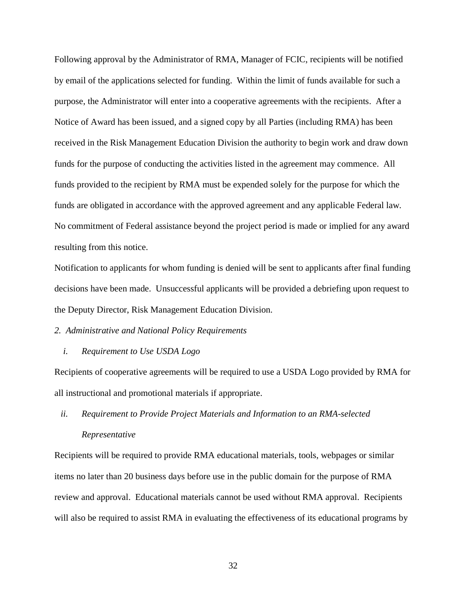Following approval by the Administrator of RMA, Manager of FCIC, recipients will be notified by email of the applications selected for funding. Within the limit of funds available for such a purpose, the Administrator will enter into a cooperative agreements with the recipients. After a Notice of Award has been issued, and a signed copy by all Parties (including RMA) has been received in the Risk Management Education Division the authority to begin work and draw down funds for the purpose of conducting the activities listed in the agreement may commence. All funds provided to the recipient by RMA must be expended solely for the purpose for which the funds are obligated in accordance with the approved agreement and any applicable Federal law. No commitment of Federal assistance beyond the project period is made or implied for any award resulting from this notice.

Notification to applicants for whom funding is denied will be sent to applicants after final funding decisions have been made. Unsuccessful applicants will be provided a debriefing upon request to the Deputy Director, Risk Management Education Division.

# *2. Administrative and National Policy Requirements*

## *i. Requirement to Use USDA Logo*

Recipients of cooperative agreements will be required to use a USDA Logo provided by RMA for all instructional and promotional materials if appropriate.

# *ii. Requirement to Provide Project Materials and Information to an RMA-selected Representative*

Recipients will be required to provide RMA educational materials, tools, webpages or similar items no later than 20 business days before use in the public domain for the purpose of RMA review and approval. Educational materials cannot be used without RMA approval. Recipients will also be required to assist RMA in evaluating the effectiveness of its educational programs by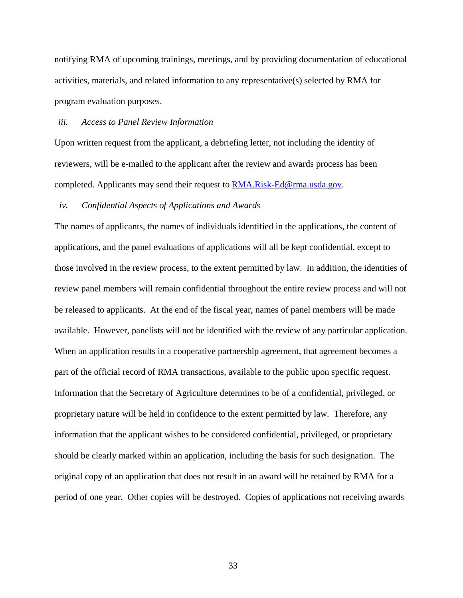notifying RMA of upcoming trainings, meetings, and by providing documentation of educational activities, materials, and related information to any representative(s) selected by RMA for program evaluation purposes.

# *iii. Access to Panel Review Information*

Upon written request from the applicant, a debriefing letter, not including the identity of reviewers, will be e-mailed to the applicant after the review and awards process has been completed. Applicants may send their request to [RMA.Risk-Ed@rma.usda.gov.](mailto:RMA.Risk-Ed@rma.usda.gov)

#### *iv. Confidential Aspects of Applications and Awards*

The names of applicants, the names of individuals identified in the applications, the content of applications, and the panel evaluations of applications will all be kept confidential, except to those involved in the review process, to the extent permitted by law. In addition, the identities of review panel members will remain confidential throughout the entire review process and will not be released to applicants. At the end of the fiscal year, names of panel members will be made available. However, panelists will not be identified with the review of any particular application. When an application results in a cooperative partnership agreement, that agreement becomes a part of the official record of RMA transactions, available to the public upon specific request. Information that the Secretary of Agriculture determines to be of a confidential, privileged, or proprietary nature will be held in confidence to the extent permitted by law. Therefore, any information that the applicant wishes to be considered confidential, privileged, or proprietary should be clearly marked within an application, including the basis for such designation. The original copy of an application that does not result in an award will be retained by RMA for a period of one year. Other copies will be destroyed. Copies of applications not receiving awards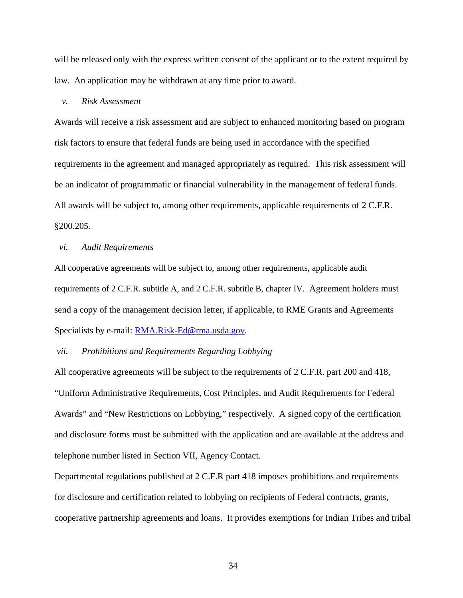will be released only with the express written consent of the applicant or to the extent required by law. An application may be withdrawn at any time prior to award.

# *v. Risk Assessment*

Awards will receive a risk assessment and are subject to enhanced monitoring based on program risk factors to ensure that federal funds are being used in accordance with the specified requirements in the agreement and managed appropriately as required. This risk assessment will be an indicator of programmatic or financial vulnerability in the management of federal funds. All awards will be subject to, among other requirements, applicable requirements of 2 C.F.R. §200.205.

## *vi. Audit Requirements*

All cooperative agreements will be subject to, among other requirements, applicable audit requirements of 2 C.F.R. subtitle A, and 2 C.F.R. subtitle B, chapter IV. Agreement holders must send a copy of the management decision letter, if applicable, to RME Grants and Agreements Specialists by e-mail: [RMA.Risk-Ed@rma.usda.gov.](mailto:RMA.Risk-Ed@rma.usda.gov)

## *vii. Prohibitions and Requirements Regarding Lobbying*

All cooperative agreements will be subject to the requirements of 2 C.F.R. part 200 and 418, "Uniform Administrative Requirements, Cost Principles, and Audit Requirements for Federal Awards" and "New Restrictions on Lobbying," respectively. A signed copy of the certification and disclosure forms must be submitted with the application and are available at the address and telephone number listed in Section VII, Agency Contact.

Departmental regulations published at 2 C.F.R part 418 imposes prohibitions and requirements for disclosure and certification related to lobbying on recipients of Federal contracts, grants, cooperative partnership agreements and loans. It provides exemptions for Indian Tribes and tribal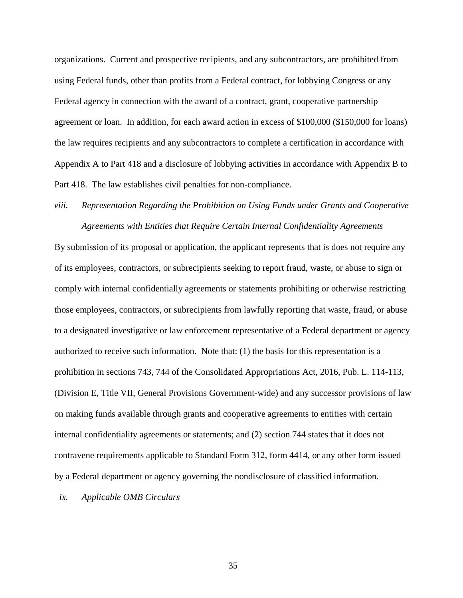organizations. Current and prospective recipients, and any subcontractors, are prohibited from using Federal funds, other than profits from a Federal contract, for lobbying Congress or any Federal agency in connection with the award of a contract, grant, cooperative partnership agreement or loan. In addition, for each award action in excess of \$100,000 (\$150,000 for loans) the law requires recipients and any subcontractors to complete a certification in accordance with Appendix A to Part 418 and a disclosure of lobbying activities in accordance with Appendix B to Part 418. The law establishes civil penalties for non-compliance.

# *viii. Representation Regarding the Prohibition on Using Funds under Grants and Cooperative Agreements with Entities that Require Certain Internal Confidentiality Agreements*

By submission of its proposal or application, the applicant represents that is does not require any of its employees, contractors, or subrecipients seeking to report fraud, waste, or abuse to sign or comply with internal confidentially agreements or statements prohibiting or otherwise restricting those employees, contractors, or subrecipients from lawfully reporting that waste, fraud, or abuse to a designated investigative or law enforcement representative of a Federal department or agency authorized to receive such information. Note that: (1) the basis for this representation is a prohibition in sections 743, 744 of the Consolidated Appropriations Act, 2016, Pub. L. 114-113, (Division E, Title VII, General Provisions Government-wide) and any successor provisions of law on making funds available through grants and cooperative agreements to entities with certain internal confidentiality agreements or statements; and (2) section 744 states that it does not contravene requirements applicable to Standard Form 312, form 4414, or any other form issued by a Federal department or agency governing the nondisclosure of classified information.

*ix. Applicable OMB Circulars*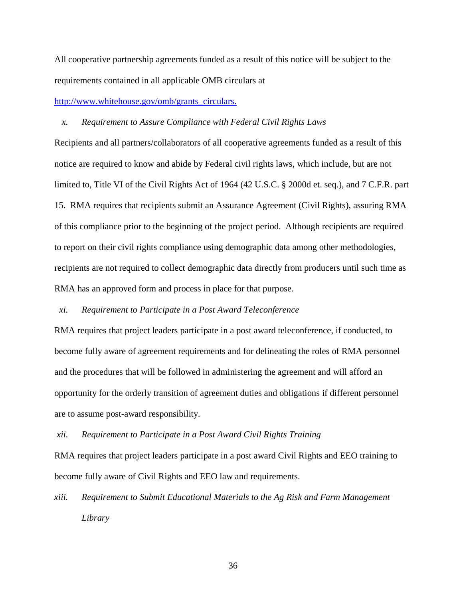All cooperative partnership agreements funded as a result of this notice will be subject to the requirements contained in all applicable OMB circulars at

[http://www.whitehouse.gov/omb/grants\\_circulars.](http://www.whitehouse.gov/omb/grants_circulars)

## *x. Requirement to Assure Compliance with Federal Civil Rights Laws*

Recipients and all partners/collaborators of all cooperative agreements funded as a result of this notice are required to know and abide by Federal civil rights laws, which include, but are not limited to, Title VI of the Civil Rights Act of 1964 (42 U.S.C. § 2000d et. seq.), and 7 C.F.R. part 15. RMA requires that recipients submit an Assurance Agreement (Civil Rights), assuring RMA of this compliance prior to the beginning of the project period. Although recipients are required to report on their civil rights compliance using demographic data among other methodologies, recipients are not required to collect demographic data directly from producers until such time as RMA has an approved form and process in place for that purpose.

# *xi. Requirement to Participate in a Post Award Teleconference*

RMA requires that project leaders participate in a post award teleconference, if conducted, to become fully aware of agreement requirements and for delineating the roles of RMA personnel and the procedures that will be followed in administering the agreement and will afford an opportunity for the orderly transition of agreement duties and obligations if different personnel are to assume post-award responsibility.

*xii. Requirement to Participate in a Post Award Civil Rights Training* 

RMA requires that project leaders participate in a post award Civil Rights and EEO training to become fully aware of Civil Rights and EEO law and requirements.

*xiii. Requirement to Submit Educational Materials to the Ag Risk and Farm Management Library*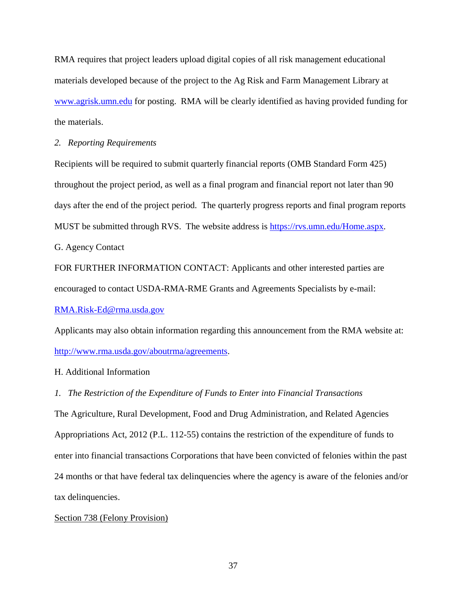RMA requires that project leaders upload digital copies of all risk management educational materials developed because of the project to the Ag Risk and Farm Management Library at [www.agrisk.umn.edu](http://www.agrisk.umn.edu/) for posting. RMA will be clearly identified as having provided funding for the materials.

## *2. Reporting Requirements*

Recipients will be required to submit quarterly financial reports (OMB Standard Form 425) throughout the project period, as well as a final program and financial report not later than 90 days after the end of the project period. The quarterly progress reports and final program reports MUST be submitted through RVS. The website address is [https://rvs.umn.edu/Home.aspx.](https://rvs.umn.edu/Home.aspx)

G. Agency Contact

FOR FURTHER INFORMATION CONTACT: Applicants and other interested parties are encouraged to contact USDA-RMA-RME Grants and Agreements Specialists by e-mail:

# [RMA.Risk-Ed@rma.usda.gov](mailto:RMA.Risk-Ed@rma.usda.gov)

Applicants may also obtain information regarding this announcement from the RMA website at: [http://www.rma.usda.gov/aboutrma/agreements.](http://www.rma.usda.gov/aboutrma/agreements)

# H. Additional Information

*1. The Restriction of the Expenditure of Funds to Enter into Financial Transactions*

The Agriculture, Rural Development, Food and Drug Administration, and Related Agencies Appropriations Act, 2012 (P.L. 112-55) contains the restriction of the expenditure of funds to enter into financial transactions Corporations that have been convicted of felonies within the past 24 months or that have federal tax delinquencies where the agency is aware of the felonies and/or tax delinquencies.

# Section 738 (Felony Provision)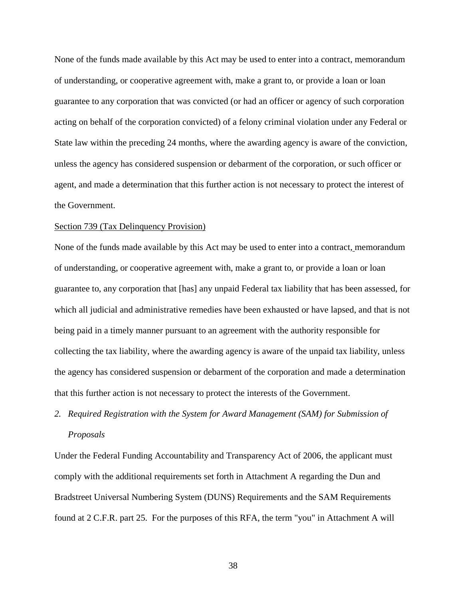None of the funds made available by this Act may be used to enter into a contract, memorandum of understanding, or cooperative agreement with, make a grant to, or provide a loan or loan guarantee to any corporation that was convicted (or had an officer or agency of such corporation acting on behalf of the corporation convicted) of a felony criminal violation under any Federal or State law within the preceding 24 months, where the awarding agency is aware of the conviction, unless the agency has considered suspension or debarment of the corporation, or such officer or agent, and made a determination that this further action is not necessary to protect the interest of the Government.

### Section 739 (Tax Delinquency Provision)

None of the funds made available by this Act may be used to enter into a contract, memorandum of understanding, or cooperative agreement with, make a grant to, or provide a loan or loan guarantee to, any corporation that [has] any unpaid Federal tax liability that has been assessed, for which all judicial and administrative remedies have been exhausted or have lapsed, and that is not being paid in a timely manner pursuant to an agreement with the authority responsible for collecting the tax liability, where the awarding agency is aware of the unpaid tax liability, unless the agency has considered suspension or debarment of the corporation and made a determination that this further action is not necessary to protect the interests of the Government.

# *2. Required Registration with the System for Award Management (SAM) for Submission of Proposals*

Under the Federal Funding Accountability and Transparency Act of 2006, the applicant must comply with the additional requirements set forth in Attachment A regarding the Dun and Bradstreet Universal Numbering System (DUNS) Requirements and the SAM Requirements found at 2 C.F.R. part 25. For the purposes of this RFA, the term "you" in Attachment A will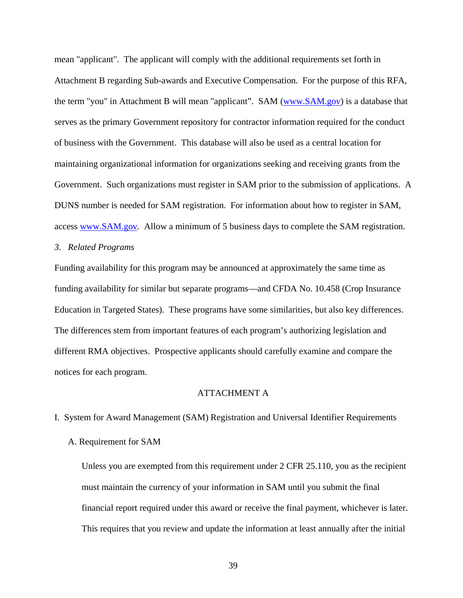mean "applicant". The applicant will comply with the additional requirements set forth in Attachment B regarding Sub-awards and Executive Compensation. For the purpose of this RFA, the term "you" in Attachment B will mean "applicant". SAM [\(www.SAM.gov\)](http://www.sam.gov/) is a database that serves as the primary Government repository for contractor information required for the conduct of business with the Government. This database will also be used as a central location for maintaining organizational information for organizations seeking and receiving grants from the Government. Such organizations must register in SAM prior to the submission of applications. A DUNS number is needed for SAM registration. For information about how to register in SAM, access [www.SAM.gov](http://www.sam.gov/)*.* Allow a minimum of 5 business days to complete the SAM registration.

# *3. Related Programs*

Funding availability for this program may be announced at approximately the same time as funding availability for similar but separate programs—and CFDA No. 10.458 (Crop Insurance Education in Targeted States). These programs have some similarities, but also key differences. The differences stem from important features of each program's authorizing legislation and different RMA objectives. Prospective applicants should carefully examine and compare the notices for each program.

# ATTACHMENT A

I. System for Award Management (SAM) Registration and Universal Identifier Requirements

# A. Requirement for SAM

Unless you are exempted from this requirement under 2 CFR 25.110, you as the recipient must maintain the currency of your information in SAM until you submit the final financial report required under this award or receive the final payment, whichever is later. This requires that you review and update the information at least annually after the initial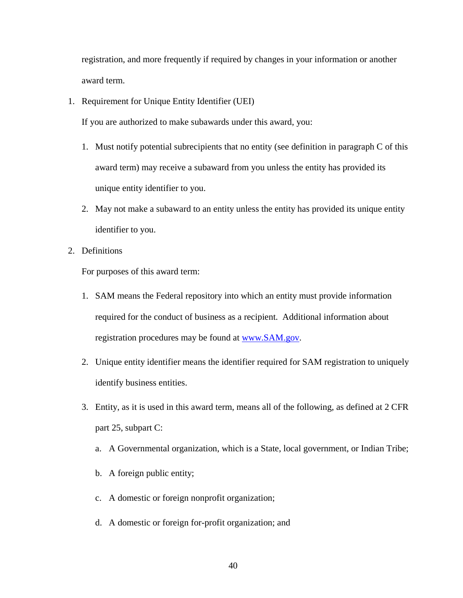registration, and more frequently if required by changes in your information or another award term.

1. Requirement for Unique Entity Identifier (UEI)

If you are authorized to make subawards under this award, you:

- 1. Must notify potential subrecipients that no entity (see definition in paragraph C of this award term) may receive a subaward from you unless the entity has provided its unique entity identifier to you.
- 2. May not make a subaward to an entity unless the entity has provided its unique entity identifier to you.
- 2. Definitions

For purposes of this award term:

- 1. SAM means the Federal repository into which an entity must provide information required for the conduct of business as a recipient. Additional information about registration procedures may be found at [www.SAM.gov.](http://www.sam.gov/)
- 2. Unique entity identifier means the identifier required for SAM registration to uniquely identify business entities.
- 3. Entity, as it is used in this award term, means all of the following, as defined at 2 CFR part 25, subpart C:
	- a. A Governmental organization, which is a State, local government, or Indian Tribe;
	- b. A foreign public entity;
	- c. A domestic or foreign nonprofit organization;
	- d. A domestic or foreign for-profit organization; and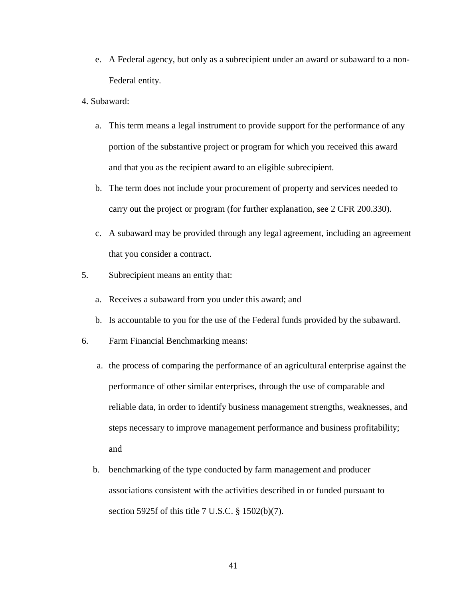- e. A Federal agency, but only as a subrecipient under an award or subaward to a non-Federal entity.
- 4. Subaward:
	- a. This term means a legal instrument to provide support for the performance of any portion of the substantive project or program for which you received this award and that you as the recipient award to an eligible subrecipient.
	- b. The term does not include your procurement of property and services needed to carry out the project or program (for further explanation, see 2 CFR 200.330).
	- c. A subaward may be provided through any legal agreement, including an agreement that you consider a contract.
- 5. Subrecipient means an entity that:
	- a. Receives a subaward from you under this award; and
	- b. Is accountable to you for the use of the Federal funds provided by the subaward.
- 6. Farm Financial Benchmarking means:
	- a. the process of comparing the performance of an agricultural enterprise against the performance of other similar enterprises, through the use of comparable and reliable data, in order to identify business management strengths, weaknesses, and steps necessary to improve management performance and business profitability; and
	- b. benchmarking of the type conducted by farm management and producer associations consistent with the activities described in or funded pursuant to section 5925f of this title 7 U.S.C. § 1502(b)(7).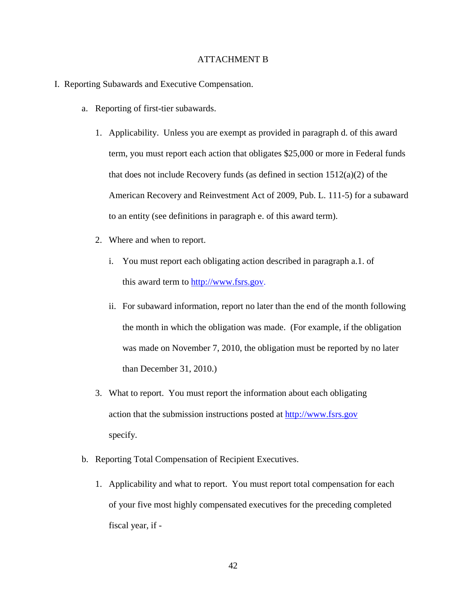# ATTACHMENT B

- I. Reporting Subawards and Executive Compensation.
	- a. Reporting of first-tier subawards.
		- 1. Applicability. Unless you are exempt as provided in paragraph d. of this award term, you must report each action that obligates \$25,000 or more in Federal funds that does not include Recovery funds (as defined in section 1512(a)(2) of the American Recovery and Reinvestment Act of 2009, Pub. L. 111-5) for a subaward to an entity (see definitions in paragraph e. of this award term).
		- 2. Where and when to report.
			- i. You must report each obligating action described in paragraph a.1. of this award term to [http://www.fsrs.go](http://www.fsrs.gov/)v.
			- ii. For subaward information, report no later than the end of the month following the month in which the obligation was made. (For example, if the obligation was made on November 7, 2010, the obligation must be reported by no later than December 31, 2010.)
		- 3. What to report. You must report the information about each obligating action that the submission instructions posted at [http://www.fsrs.gov](http://www.fsrs.gov/) specify.
	- b. Reporting Total Compensation of Recipient Executives.
		- 1. Applicability and what to report. You must report total compensation for each of your five most highly compensated executives for the preceding completed fiscal year, if -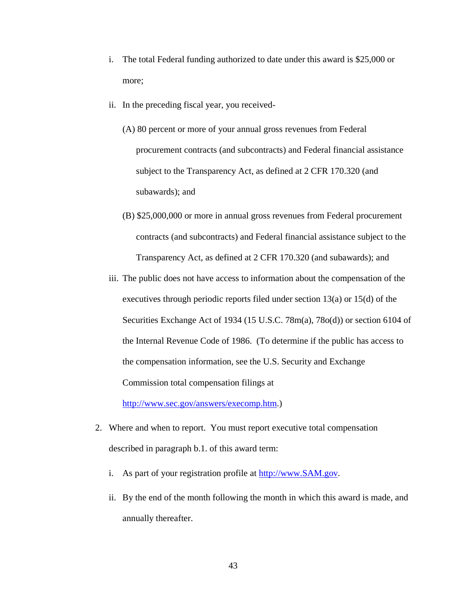- i. The total Federal funding authorized to date under this award is \$25,000 or more;
- ii. In the preceding fiscal year, you received-
	- (A) 80 percent or more of your annual gross revenues from Federal procurement contracts (and subcontracts) and Federal financial assistance subject to the Transparency Act, as defined at 2 CFR 170.320 (and subawards); and
	- (B) \$25,000,000 or more in annual gross revenues from Federal procurement contracts (and subcontracts) and Federal financial assistance subject to the Transparency Act, as defined at 2 CFR 170.320 (and subawards); and
- iii. The public does not have access to information about the compensation of the executives through periodic reports filed under section 13(a) or 15(d) of the Securities Exchange Act of 1934 (15 U.S.C. 78m(a), 78o(d)) or section 6104 of the Internal Revenue Code of 1986. (To determine if the public has access to the compensation information, see the U.S. Security and Exchange Commission total compensation filings at

[http://www.sec.gov/answers/execomp.htm.](http://www.sec.gov/answers/execomp.htm))

- 2. Where and when to report. You must report executive total compensation described in paragraph b.1. of this award term:
	- i. As part of your registration profile at [http://www.SAM.gov.](http://www.sam.gov/)
	- ii. By the end of the month following the month in which this award is made, and annually thereafter.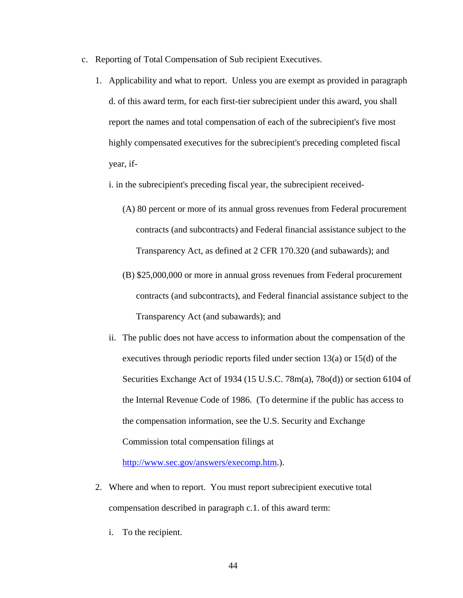- c. Reporting of Total Compensation of Sub recipient Executives.
	- 1. Applicability and what to report. Unless you are exempt as provided in paragraph d. of this award term, for each first-tier subrecipient under this award, you shall report the names and total compensation of each of the subrecipient's five most highly compensated executives for the subrecipient's preceding completed fiscal year, if
		- i. in the subrecipient's preceding fiscal year, the subrecipient received-
			- (A) 80 percent or more of its annual gross revenues from Federal procurement contracts (and subcontracts) and Federal financial assistance subject to the Transparency Act, as defined at 2 CFR 170.320 (and subawards); and
			- (B) \$25,000,000 or more in annual gross revenues from Federal procurement contracts (and subcontracts), and Federal financial assistance subject to the Transparency Act (and subawards); and
		- ii. The public does not have access to information about the compensation of the executives through periodic reports filed under section 13(a) or 15(d) of the Securities Exchange Act of 1934 (15 U.S.C. 78m(a), 78o(d)) or section 6104 of the Internal Revenue Code of 1986. (To determine if the public has access to the compensation information, see the U.S. Security and Exchange Commission total compensation filings at

[http://www.sec.gov/answers/execomp.htm.](http://www.sec.gov/answers/execomp.htm)).

- 2. Where and when to report. You must report subrecipient executive total compensation described in paragraph c.1. of this award term:
	- i. To the recipient.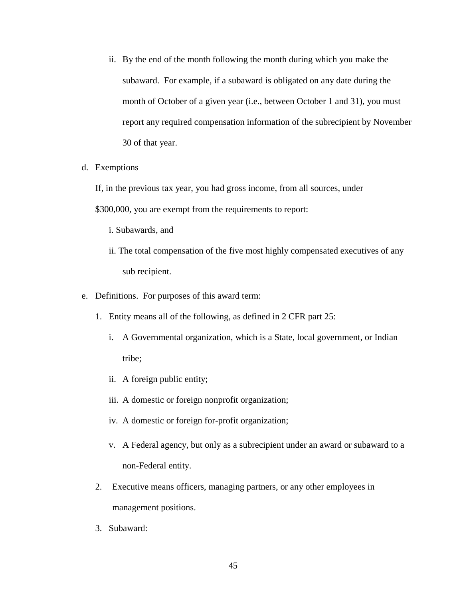- ii. By the end of the month following the month during which you make the subaward. For example, if a subaward is obligated on any date during the month of October of a given year (i.e., between October 1 and 31), you must report any required compensation information of the subrecipient by November 30 of that year.
- d. Exemptions

If, in the previous tax year, you had gross income, from all sources, under

\$300,000, you are exempt from the requirements to report:

- i. Subawards, and
- ii. The total compensation of the five most highly compensated executives of any sub recipient.
- e. Definitions. For purposes of this award term:
	- 1. Entity means all of the following, as defined in 2 CFR part 25:
		- i. A Governmental organization, which is a State, local government, or Indian tribe;
		- ii. A foreign public entity;
		- iii. A domestic or foreign nonprofit organization;
		- iv. A domestic or foreign for-profit organization;
		- v. A Federal agency, but only as a subrecipient under an award or subaward to a non-Federal entity.
	- 2. Executive means officers, managing partners, or any other employees in management positions.
	- 3. Subaward: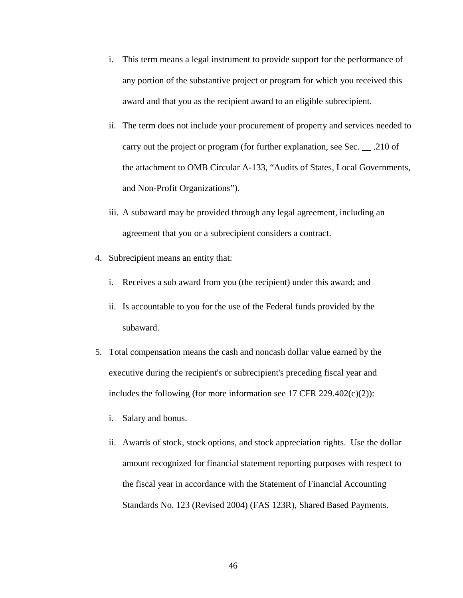- i. This term means a legal instrument to provide support for the performance of any portion of the substantive project or program for which you received this award and that you as the recipient award to an eligible subrecipient.
- ii. The term does not include your procurement of property and services needed to carry out the project or program (for further explanation, see Sec. \_\_ .210 of the attachment to OMB Circular A-133, "Audits of States, Local Governments, and Non-Profit Organizations").
- iii. A subaward may be provided through any legal agreement, including an agreement that you or a subrecipient considers a contract.
- 4. Subrecipient means an entity that:
	- i. Receives a sub award from you (the recipient) under this award; and
	- ii. Is accountable to you for the use of the Federal funds provided by the subaward.
- 5. Total compensation means the cash and noncash dollar value earned by the executive during the recipient's or subrecipient's preceding fiscal year and includes the following (for more information see 17 CFR 229.402 $(c)(2)$ ):
	- i. Salary and bonus.
	- ii. Awards of stock, stock options, and stock appreciation rights. Use the dollar amount recognized for financial statement reporting purposes with respect to the fiscal year in accordance with the Statement of Financial Accounting Standards No. 123 (Revised 2004) (FAS 123R), Shared Based Payments.